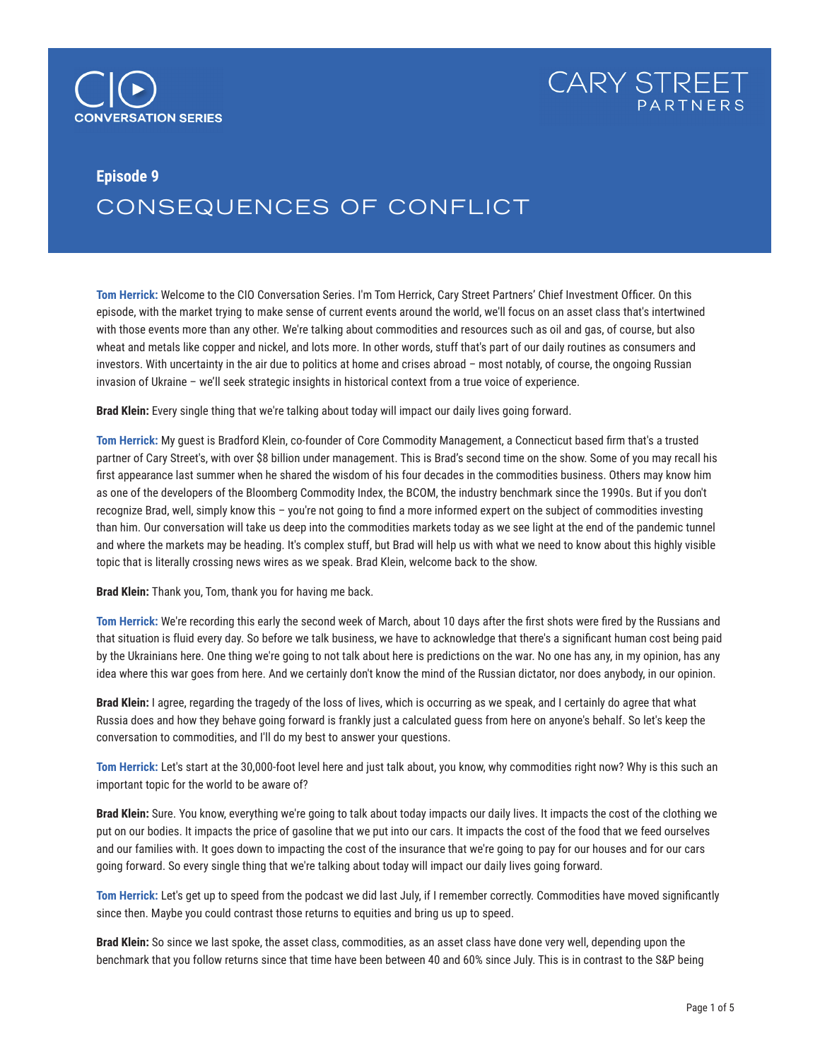



## **Episode 9**

## CONSEQUENCES OF CONFLICT

**Tom Herrick:** Welcome to the CIO Conversation Series. I'm Tom Herrick, Cary Street Partners' Chief Investment Officer. On this episode, with the market trying to make sense of current events around the world, we'll focus on an asset class that's intertwined with those events more than any other. We're talking about commodities and resources such as oil and gas, of course, but also wheat and metals like copper and nickel, and lots more. In other words, stuff that's part of our daily routines as consumers and investors. With uncertainty in the air due to politics at home and crises abroad – most notably, of course, the ongoing Russian invasion of Ukraine – we'll seek strategic insights in historical context from a true voice of experience.

**Brad Klein:** Every single thing that we're talking about today will impact our daily lives going forward.

**Tom Herrick:** My guest is Bradford Klein, co-founder of Core Commodity Management, a Connecticut based firm that's a trusted partner of Cary Street's, with over \$8 billion under management. This is Brad's second time on the show. Some of you may recall his first appearance last summer when he shared the wisdom of his four decades in the commodities business. Others may know him as one of the developers of the Bloomberg Commodity Index, the BCOM, the industry benchmark since the 1990s. But if you don't recognize Brad, well, simply know this – you're not going to find a more informed expert on the subject of commodities investing than him. Our conversation will take us deep into the commodities markets today as we see light at the end of the pandemic tunnel and where the markets may be heading. It's complex stuff, but Brad will help us with what we need to know about this highly visible topic that is literally crossing news wires as we speak. Brad Klein, welcome back to the show.

**Brad Klein:** Thank you, Tom, thank you for having me back.

**Tom Herrick:** We're recording this early the second week of March, about 10 days after the first shots were fired by the Russians and that situation is fluid every day. So before we talk business, we have to acknowledge that there's a significant human cost being paid by the Ukrainians here. One thing we're going to not talk about here is predictions on the war. No one has any, in my opinion, has any idea where this war goes from here. And we certainly don't know the mind of the Russian dictator, nor does anybody, in our opinion.

**Brad Klein:** I agree, regarding the tragedy of the loss of lives, which is occurring as we speak, and I certainly do agree that what Russia does and how they behave going forward is frankly just a calculated guess from here on anyone's behalf. So let's keep the conversation to commodities, and I'll do my best to answer your questions.

**Tom Herrick:** Let's start at the 30,000-foot level here and just talk about, you know, why commodities right now? Why is this such an important topic for the world to be aware of?

**Brad Klein:** Sure. You know, everything we're going to talk about today impacts our daily lives. It impacts the cost of the clothing we put on our bodies. It impacts the price of gasoline that we put into our cars. It impacts the cost of the food that we feed ourselves and our families with. It goes down to impacting the cost of the insurance that we're going to pay for our houses and for our cars going forward. So every single thing that we're talking about today will impact our daily lives going forward.

**Tom Herrick:** Let's get up to speed from the podcast we did last July, if I remember correctly. Commodities have moved significantly since then. Maybe you could contrast those returns to equities and bring us up to speed.

**Brad Klein:** So since we last spoke, the asset class, commodities, as an asset class have done very well, depending upon the benchmark that you follow returns since that time have been between 40 and 60% since July. This is in contrast to the S&P being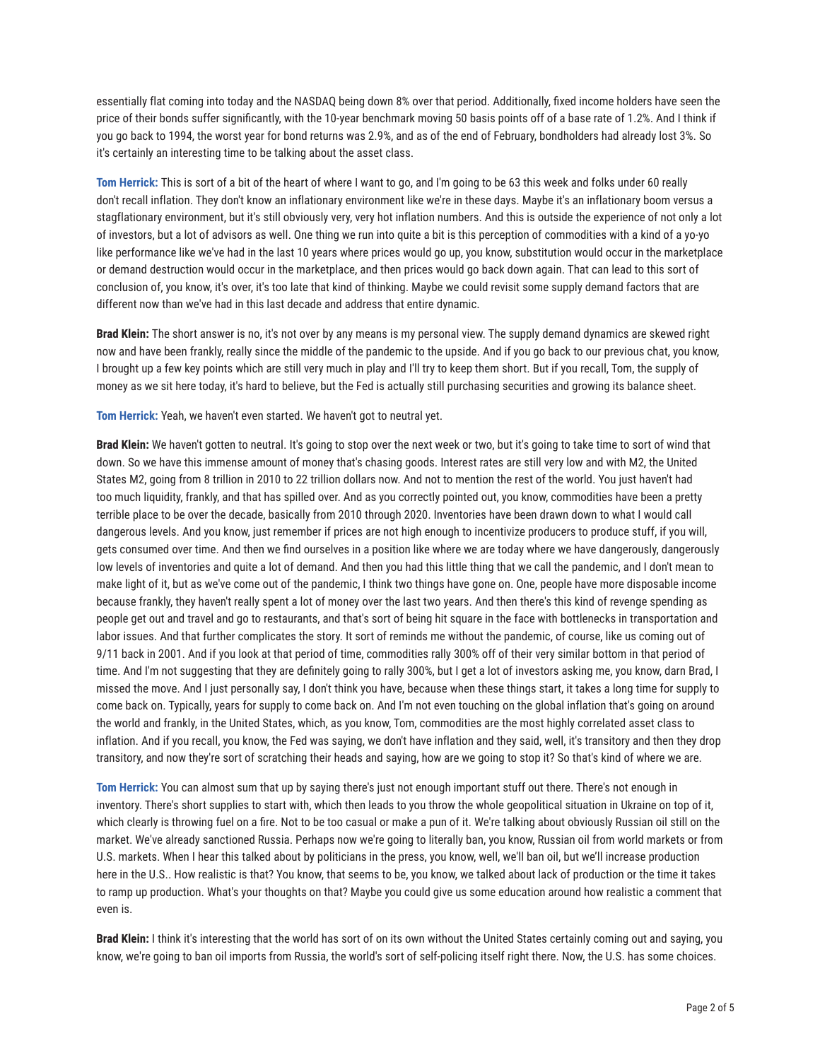essentially flat coming into today and the NASDAQ being down 8% over that period. Additionally, fixed income holders have seen the price of their bonds suffer significantly, with the 10-year benchmark moving 50 basis points off of a base rate of 1.2%. And I think if you go back to 1994, the worst year for bond returns was 2.9%, and as of the end of February, bondholders had already lost 3%. So it's certainly an interesting time to be talking about the asset class.

**Tom Herrick:** This is sort of a bit of the heart of where I want to go, and I'm going to be 63 this week and folks under 60 really don't recall inflation. They don't know an inflationary environment like we're in these days. Maybe it's an inflationary boom versus a stagflationary environment, but it's still obviously very, very hot inflation numbers. And this is outside the experience of not only a lot of investors, but a lot of advisors as well. One thing we run into quite a bit is this perception of commodities with a kind of a yo-yo like performance like we've had in the last 10 years where prices would go up, you know, substitution would occur in the marketplace or demand destruction would occur in the marketplace, and then prices would go back down again. That can lead to this sort of conclusion of, you know, it's over, it's too late that kind of thinking. Maybe we could revisit some supply demand factors that are different now than we've had in this last decade and address that entire dynamic.

**Brad Klein:** The short answer is no, it's not over by any means is my personal view. The supply demand dynamics are skewed right now and have been frankly, really since the middle of the pandemic to the upside. And if you go back to our previous chat, you know, I brought up a few key points which are still very much in play and I'll try to keep them short. But if you recall, Tom, the supply of money as we sit here today, it's hard to believe, but the Fed is actually still purchasing securities and growing its balance sheet.

**Tom Herrick:** Yeah, we haven't even started. We haven't got to neutral yet.

**Brad Klein:** We haven't gotten to neutral. It's going to stop over the next week or two, but it's going to take time to sort of wind that down. So we have this immense amount of money that's chasing goods. Interest rates are still very low and with M2, the United States M2, going from 8 trillion in 2010 to 22 trillion dollars now. And not to mention the rest of the world. You just haven't had too much liquidity, frankly, and that has spilled over. And as you correctly pointed out, you know, commodities have been a pretty terrible place to be over the decade, basically from 2010 through 2020. Inventories have been drawn down to what I would call dangerous levels. And you know, just remember if prices are not high enough to incentivize producers to produce stuff, if you will, gets consumed over time. And then we find ourselves in a position like where we are today where we have dangerously, dangerously low levels of inventories and quite a lot of demand. And then you had this little thing that we call the pandemic, and I don't mean to make light of it, but as we've come out of the pandemic, I think two things have gone on. One, people have more disposable income because frankly, they haven't really spent a lot of money over the last two years. And then there's this kind of revenge spending as people get out and travel and go to restaurants, and that's sort of being hit square in the face with bottlenecks in transportation and labor issues. And that further complicates the story. It sort of reminds me without the pandemic, of course, like us coming out of 9/11 back in 2001. And if you look at that period of time, commodities rally 300% off of their very similar bottom in that period of time. And I'm not suggesting that they are definitely going to rally 300%, but I get a lot of investors asking me, you know, darn Brad, I missed the move. And I just personally say, I don't think you have, because when these things start, it takes a long time for supply to come back on. Typically, years for supply to come back on. And I'm not even touching on the global inflation that's going on around the world and frankly, in the United States, which, as you know, Tom, commodities are the most highly correlated asset class to inflation. And if you recall, you know, the Fed was saying, we don't have inflation and they said, well, it's transitory and then they drop transitory, and now they're sort of scratching their heads and saying, how are we going to stop it? So that's kind of where we are.

**Tom Herrick:** You can almost sum that up by saying there's just not enough important stuff out there. There's not enough in inventory. There's short supplies to start with, which then leads to you throw the whole geopolitical situation in Ukraine on top of it, which clearly is throwing fuel on a fire. Not to be too casual or make a pun of it. We're talking about obviously Russian oil still on the market. We've already sanctioned Russia. Perhaps now we're going to literally ban, you know, Russian oil from world markets or from U.S. markets. When I hear this talked about by politicians in the press, you know, well, we'll ban oil, but we'll increase production here in the U.S.. How realistic is that? You know, that seems to be, you know, we talked about lack of production or the time it takes to ramp up production. What's your thoughts on that? Maybe you could give us some education around how realistic a comment that even is.

**Brad Klein:** I think it's interesting that the world has sort of on its own without the United States certainly coming out and saying, you know, we're going to ban oil imports from Russia, the world's sort of self-policing itself right there. Now, the U.S. has some choices.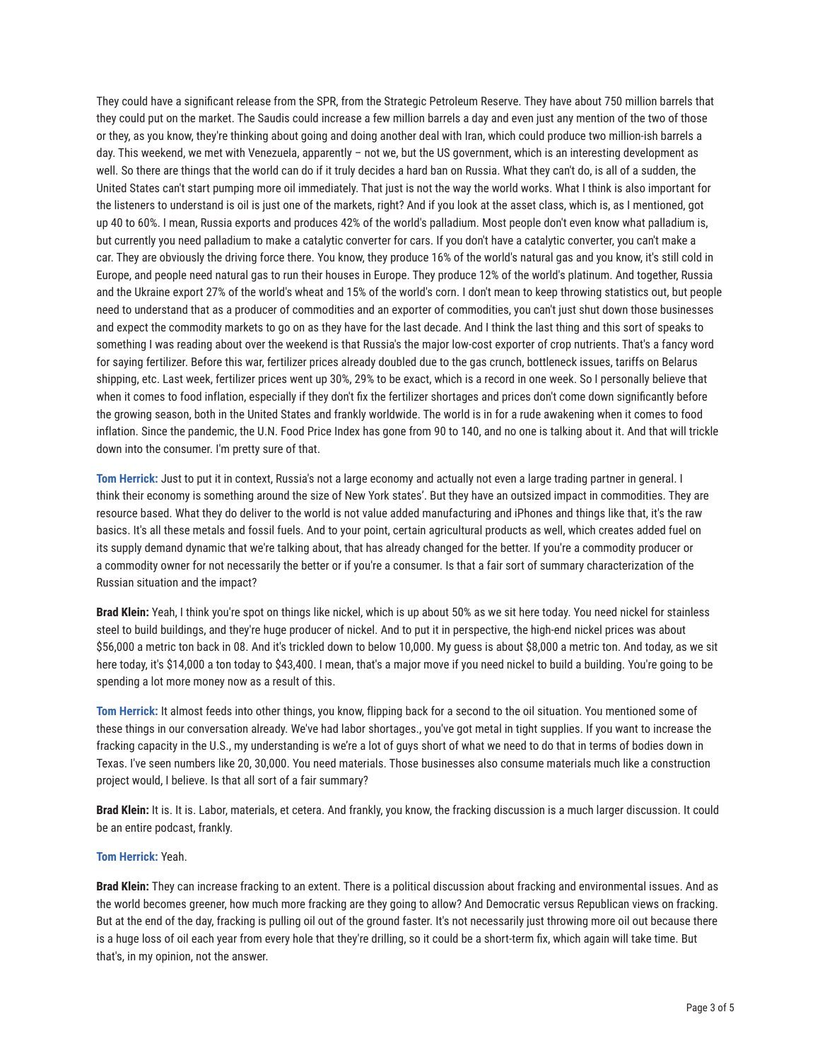They could have a significant release from the SPR, from the Strategic Petroleum Reserve. They have about 750 million barrels that they could put on the market. The Saudis could increase a few million barrels a day and even just any mention of the two of those or they, as you know, they're thinking about going and doing another deal with Iran, which could produce two million-ish barrels a day. This weekend, we met with Venezuela, apparently – not we, but the US government, which is an interesting development as well. So there are things that the world can do if it truly decides a hard ban on Russia. What they can't do, is all of a sudden, the United States can't start pumping more oil immediately. That just is not the way the world works. What I think is also important for the listeners to understand is oil is just one of the markets, right? And if you look at the asset class, which is, as I mentioned, got up 40 to 60%. I mean, Russia exports and produces 42% of the world's palladium. Most people don't even know what palladium is, but currently you need palladium to make a catalytic converter for cars. If you don't have a catalytic converter, you can't make a car. They are obviously the driving force there. You know, they produce 16% of the world's natural gas and you know, it's still cold in Europe, and people need natural gas to run their houses in Europe. They produce 12% of the world's platinum. And together, Russia and the Ukraine export 27% of the world's wheat and 15% of the world's corn. I don't mean to keep throwing statistics out, but people need to understand that as a producer of commodities and an exporter of commodities, you can't just shut down those businesses and expect the commodity markets to go on as they have for the last decade. And I think the last thing and this sort of speaks to something I was reading about over the weekend is that Russia's the major low-cost exporter of crop nutrients. That's a fancy word for saying fertilizer. Before this war, fertilizer prices already doubled due to the gas crunch, bottleneck issues, tariffs on Belarus shipping, etc. Last week, fertilizer prices went up 30%, 29% to be exact, which is a record in one week. So I personally believe that when it comes to food inflation, especially if they don't fix the fertilizer shortages and prices don't come down significantly before the growing season, both in the United States and frankly worldwide. The world is in for a rude awakening when it comes to food inflation. Since the pandemic, the U.N. Food Price Index has gone from 90 to 140, and no one is talking about it. And that will trickle down into the consumer. I'm pretty sure of that.

**Tom Herrick:** Just to put it in context, Russia's not a large economy and actually not even a large trading partner in general. I think their economy is something around the size of New York states'. But they have an outsized impact in commodities. They are resource based. What they do deliver to the world is not value added manufacturing and iPhones and things like that, it's the raw basics. It's all these metals and fossil fuels. And to your point, certain agricultural products as well, which creates added fuel on its supply demand dynamic that we're talking about, that has already changed for the better. If you're a commodity producer or a commodity owner for not necessarily the better or if you're a consumer. Is that a fair sort of summary characterization of the Russian situation and the impact?

**Brad Klein:** Yeah, I think you're spot on things like nickel, which is up about 50% as we sit here today. You need nickel for stainless steel to build buildings, and they're huge producer of nickel. And to put it in perspective, the high-end nickel prices was about \$56,000 a metric ton back in 08. And it's trickled down to below 10,000. My guess is about \$8,000 a metric ton. And today, as we sit here today, it's \$14,000 a ton today to \$43,400. I mean, that's a major move if you need nickel to build a building. You're going to be spending a lot more money now as a result of this.

**Tom Herrick:** It almost feeds into other things, you know, flipping back for a second to the oil situation. You mentioned some of these things in our conversation already. We've had labor shortages., you've got metal in tight supplies. If you want to increase the fracking capacity in the U.S., my understanding is we're a lot of guys short of what we need to do that in terms of bodies down in Texas. I've seen numbers like 20, 30,000. You need materials. Those businesses also consume materials much like a construction project would, I believe. Is that all sort of a fair summary?

**Brad Klein:** It is. It is. Labor, materials, et cetera. And frankly, you know, the fracking discussion is a much larger discussion. It could be an entire podcast, frankly.

## **Tom Herrick:** Yeah.

**Brad Klein:** They can increase fracking to an extent. There is a political discussion about fracking and environmental issues. And as the world becomes greener, how much more fracking are they going to allow? And Democratic versus Republican views on fracking. But at the end of the day, fracking is pulling oil out of the ground faster. It's not necessarily just throwing more oil out because there is a huge loss of oil each year from every hole that they're drilling, so it could be a short-term fix, which again will take time. But that's, in my opinion, not the answer.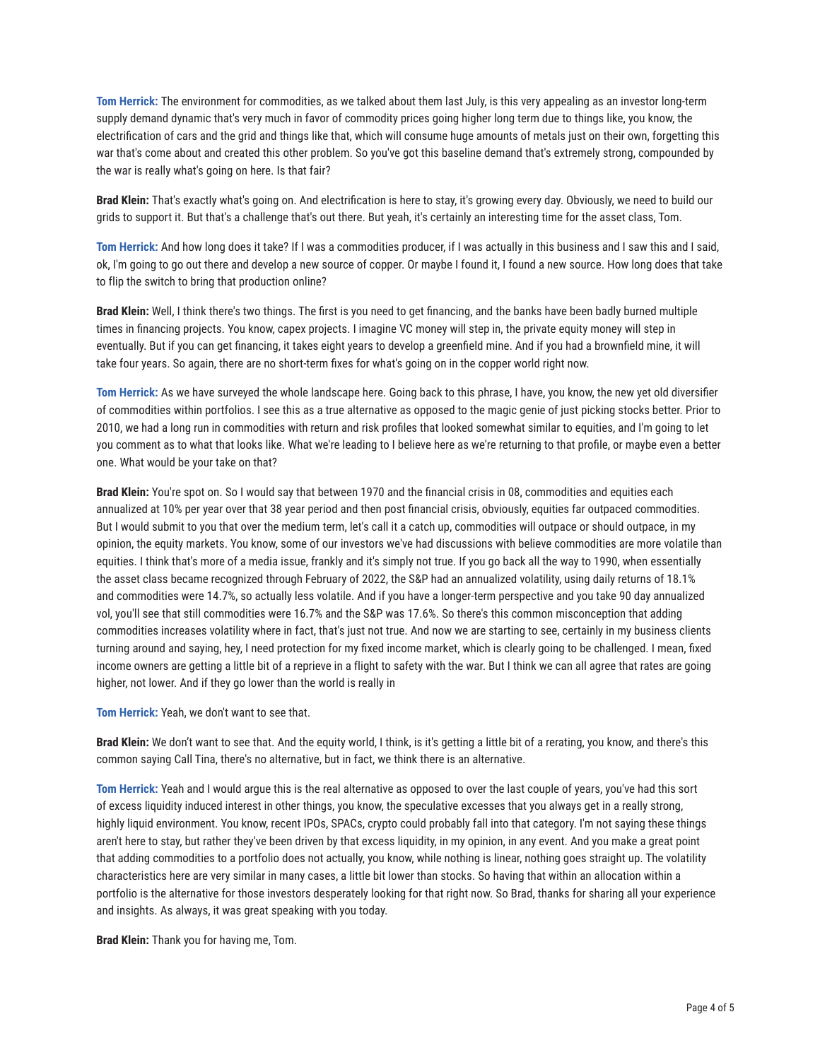**Tom Herrick:** The environment for commodities, as we talked about them last July, is this very appealing as an investor long-term supply demand dynamic that's very much in favor of commodity prices going higher long term due to things like, you know, the electrification of cars and the grid and things like that, which will consume huge amounts of metals just on their own, forgetting this war that's come about and created this other problem. So you've got this baseline demand that's extremely strong, compounded by the war is really what's going on here. Is that fair?

**Brad Klein:** That's exactly what's going on. And electrification is here to stay, it's growing every day. Obviously, we need to build our grids to support it. But that's a challenge that's out there. But yeah, it's certainly an interesting time for the asset class, Tom.

**Tom Herrick:** And how long does it take? If I was a commodities producer, if I was actually in this business and I saw this and I said, ok, I'm going to go out there and develop a new source of copper. Or maybe I found it, I found a new source. How long does that take to flip the switch to bring that production online?

**Brad Klein:** Well, I think there's two things. The first is you need to get financing, and the banks have been badly burned multiple times in financing projects. You know, capex projects. I imagine VC money will step in, the private equity money will step in eventually. But if you can get financing, it takes eight years to develop a greenfield mine. And if you had a brownfield mine, it will take four years. So again, there are no short-term fixes for what's going on in the copper world right now.

**Tom Herrick:** As we have surveyed the whole landscape here. Going back to this phrase, I have, you know, the new yet old diversifier of commodities within portfolios. I see this as a true alternative as opposed to the magic genie of just picking stocks better. Prior to 2010, we had a long run in commodities with return and risk profiles that looked somewhat similar to equities, and I'm going to let you comment as to what that looks like. What we're leading to I believe here as we're returning to that profile, or maybe even a better one. What would be your take on that?

**Brad Klein:** You're spot on. So I would say that between 1970 and the financial crisis in 08, commodities and equities each annualized at 10% per year over that 38 year period and then post financial crisis, obviously, equities far outpaced commodities. But I would submit to you that over the medium term, let's call it a catch up, commodities will outpace or should outpace, in my opinion, the equity markets. You know, some of our investors we've had discussions with believe commodities are more volatile than equities. I think that's more of a media issue, frankly and it's simply not true. If you go back all the way to 1990, when essentially the asset class became recognized through February of 2022, the S&P had an annualized volatility, using daily returns of 18.1% and commodities were 14.7%, so actually less volatile. And if you have a longer-term perspective and you take 90 day annualized vol, you'll see that still commodities were 16.7% and the S&P was 17.6%. So there's this common misconception that adding commodities increases volatility where in fact, that's just not true. And now we are starting to see, certainly in my business clients turning around and saying, hey, I need protection for my fixed income market, which is clearly going to be challenged. I mean, fixed income owners are getting a little bit of a reprieve in a flight to safety with the war. But I think we can all agree that rates are going higher, not lower. And if they go lower than the world is really in

**Tom Herrick:** Yeah, we don't want to see that.

**Brad Klein:** We don't want to see that. And the equity world, I think, is it's getting a little bit of a rerating, you know, and there's this common saying Call Tina, there's no alternative, but in fact, we think there is an alternative.

**Tom Herrick:** Yeah and I would argue this is the real alternative as opposed to over the last couple of years, you've had this sort of excess liquidity induced interest in other things, you know, the speculative excesses that you always get in a really strong, highly liquid environment. You know, recent IPOs, SPACs, crypto could probably fall into that category. I'm not saying these things aren't here to stay, but rather they've been driven by that excess liquidity, in my opinion, in any event. And you make a great point that adding commodities to a portfolio does not actually, you know, while nothing is linear, nothing goes straight up. The volatility characteristics here are very similar in many cases, a little bit lower than stocks. So having that within an allocation within a portfolio is the alternative for those investors desperately looking for that right now. So Brad, thanks for sharing all your experience and insights. As always, it was great speaking with you today.

**Brad Klein:** Thank you for having me, Tom.